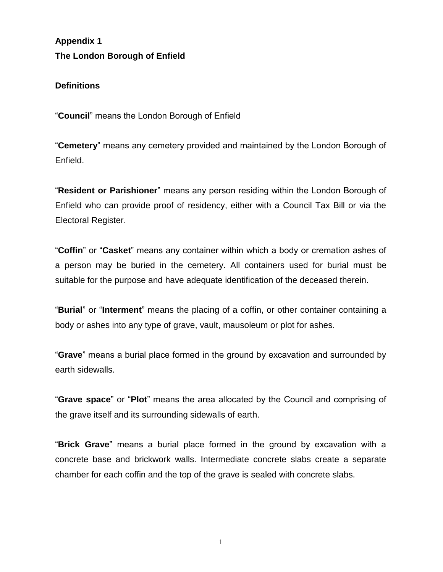**Appendix 1 The London Borough of Enfield**

## **Definitions**

"**Council**" means the London Borough of Enfield

"**Cemetery**" means any cemetery provided and maintained by the London Borough of Enfield.

"**Resident or Parishioner**" means any person residing within the London Borough of Enfield who can provide proof of residency, either with a Council Tax Bill or via the Electoral Register.

"**Coffin**" or "**Casket**" means any container within which a body or cremation ashes of a person may be buried in the cemetery. All containers used for burial must be suitable for the purpose and have adequate identification of the deceased therein.

"**Burial**" or "**Interment**" means the placing of a coffin, or other container containing a body or ashes into any type of grave, vault, mausoleum or plot for ashes.

"**Grave**" means a burial place formed in the ground by excavation and surrounded by earth sidewalls.

"**Grave space**" or "**Plot**" means the area allocated by the Council and comprising of the grave itself and its surrounding sidewalls of earth.

"**Brick Grave**" means a burial place formed in the ground by excavation with a concrete base and brickwork walls. Intermediate concrete slabs create a separate chamber for each coffin and the top of the grave is sealed with concrete slabs.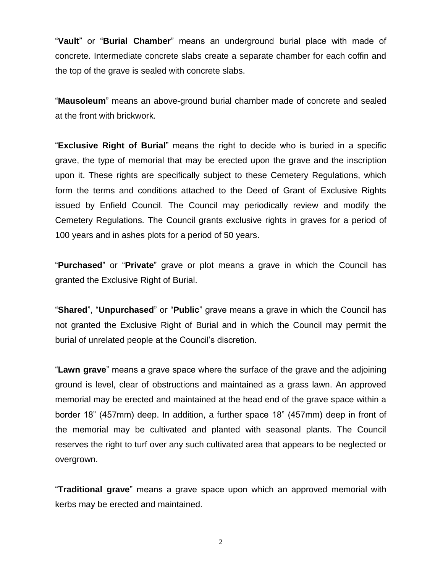"**Vault**" or "**Burial Chamber**" means an underground burial place with made of concrete. Intermediate concrete slabs create a separate chamber for each coffin and the top of the grave is sealed with concrete slabs.

"**Mausoleum**" means an above-ground burial chamber made of concrete and sealed at the front with brickwork.

"**Exclusive Right of Burial**" means the right to decide who is buried in a specific grave, the type of memorial that may be erected upon the grave and the inscription upon it. These rights are specifically subject to these Cemetery Regulations, which form the terms and conditions attached to the Deed of Grant of Exclusive Rights issued by Enfield Council. The Council may periodically review and modify the Cemetery Regulations. The Council grants exclusive rights in graves for a period of 100 years and in ashes plots for a period of 50 years.

"**Purchased**" or "**Private**" grave or plot means a grave in which the Council has granted the Exclusive Right of Burial.

"**Shared**", "**Unpurchased**" or "**Public**" grave means a grave in which the Council has not granted the Exclusive Right of Burial and in which the Council may permit the burial of unrelated people at the Council's discretion.

"**Lawn grave**" means a grave space where the surface of the grave and the adjoining ground is level, clear of obstructions and maintained as a grass lawn. An approved memorial may be erected and maintained at the head end of the grave space within a border 18" (457mm) deep. In addition, a further space 18" (457mm) deep in front of the memorial may be cultivated and planted with seasonal plants. The Council reserves the right to turf over any such cultivated area that appears to be neglected or overgrown.

"**Traditional grave**" means a grave space upon which an approved memorial with kerbs may be erected and maintained.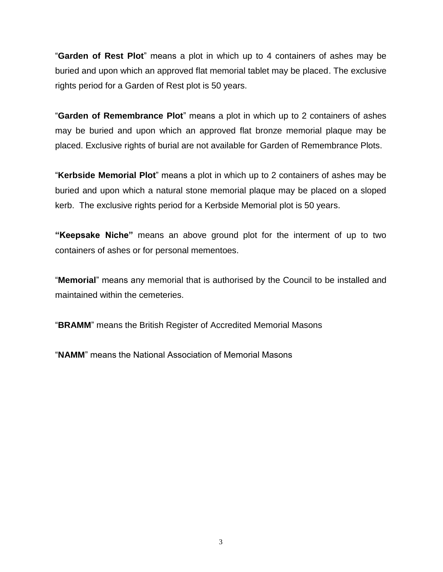"**Garden of Rest Plot**" means a plot in which up to 4 containers of ashes may be buried and upon which an approved flat memorial tablet may be placed. The exclusive rights period for a Garden of Rest plot is 50 years.

"**Garden of Remembrance Plot**" means a plot in which up to 2 containers of ashes may be buried and upon which an approved flat bronze memorial plaque may be placed. Exclusive rights of burial are not available for Garden of Remembrance Plots.

"**Kerbside Memorial Plot**" means a plot in which up to 2 containers of ashes may be buried and upon which a natural stone memorial plaque may be placed on a sloped kerb. The exclusive rights period for a Kerbside Memorial plot is 50 years.

**"Keepsake Niche"** means an above ground plot for the interment of up to two containers of ashes or for personal mementoes.

"**Memorial**" means any memorial that is authorised by the Council to be installed and maintained within the cemeteries.

"**BRAMM**" means the British Register of Accredited Memorial Masons

"**NAMM**" means the National Association of Memorial Masons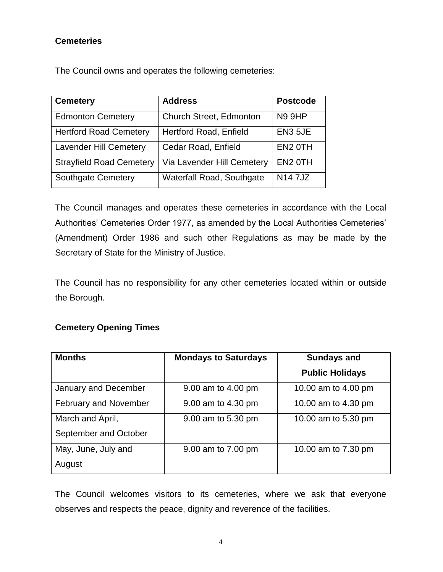# **Cemeteries**

The Council owns and operates the following cemeteries:

| <b>Cemetery</b>                 | <b>Address</b>                   | <b>Postcode</b>     |
|---------------------------------|----------------------------------|---------------------|
| <b>Edmonton Cemetery</b>        | <b>Church Street, Edmonton</b>   | <b>N9 9HP</b>       |
| <b>Hertford Road Cemetery</b>   | <b>Hertford Road, Enfield</b>    | EN3 5JE             |
| <b>Lavender Hill Cemetery</b>   | Cedar Road, Enfield              | EN <sub>2</sub> OTH |
| <b>Strayfield Road Cemetery</b> | Via Lavender Hill Cemetery       | EN <sub>2</sub> OTH |
| <b>Southgate Cemetery</b>       | <b>Waterfall Road, Southgate</b> | <b>N147JZ</b>       |

The Council manages and operates these cemeteries in accordance with the Local Authorities' Cemeteries Order 1977, as amended by the Local Authorities Cemeteries' (Amendment) Order 1986 and such other Regulations as may be made by the Secretary of State for the Ministry of Justice.

The Council has no responsibility for any other cemeteries located within or outside the Borough.

# **Cemetery Opening Times**

| <b>Months</b>                | <b>Mondays to Saturdays</b> | <b>Sundays and</b>     |
|------------------------------|-----------------------------|------------------------|
|                              |                             | <b>Public Holidays</b> |
| January and December         | 9.00 am to 4.00 pm          | 10.00 am to 4.00 pm    |
| <b>February and November</b> | 9.00 am to 4.30 pm          | 10.00 am to 4.30 pm    |
| March and April,             | 9.00 am to 5.30 pm          | 10.00 am to 5.30 pm    |
| September and October        |                             |                        |
| May, June, July and          | 9.00 am to 7.00 pm          | 10.00 am to 7.30 pm    |
| August                       |                             |                        |

The Council welcomes visitors to its cemeteries, where we ask that everyone observes and respects the peace, dignity and reverence of the facilities.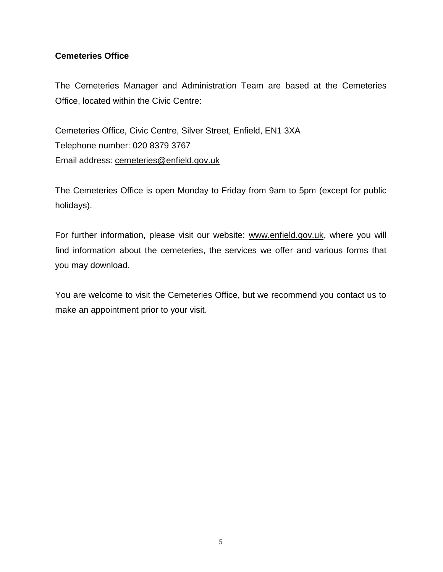# **Cemeteries Office**

The Cemeteries Manager and Administration Team are based at the Cemeteries Office, located within the Civic Centre:

Cemeteries Office, Civic Centre, Silver Street, Enfield, EN1 3XA Telephone number: 020 8379 3767 Email address: [cemeteries@enfield.gov.uk](mailto:cemeteries@enfield.gov.uk)

The Cemeteries Office is open Monday to Friday from 9am to 5pm (except for public holidays).

For further information, please visit our website: [www.enfield.gov.uk,](http://www.enfield.gov.uk/) where you will find information about the cemeteries, the services we offer and various forms that you may download.

You are welcome to visit the Cemeteries Office, but we recommend you contact us to make an appointment prior to your visit.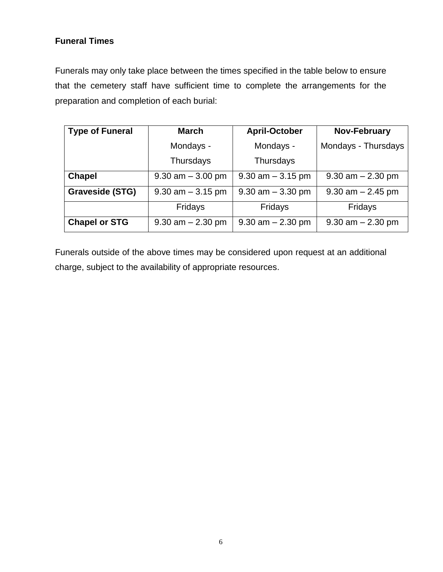# **Funeral Times**

Funerals may only take place between the times specified in the table below to ensure that the cemetery staff have sufficient time to complete the arrangements for the preparation and completion of each burial:

| <b>Type of Funeral</b> | <b>March</b>          |                       | <b>Nov-February</b>   |  |
|------------------------|-----------------------|-----------------------|-----------------------|--|
|                        | Mondays -             | Mondays -             | Mondays - Thursdays   |  |
|                        | Thursdays             | Thursdays             |                       |  |
| <b>Chapel</b>          | $9.30$ am $-3.00$ pm  | $9.30$ am $-3.15$ pm  | $9.30$ am $- 2.30$ pm |  |
| <b>Graveside (STG)</b> | $9.30$ am $-3.15$ pm  | $9.30$ am $-3.30$ pm  | $9.30$ am $- 2.45$ pm |  |
|                        | Fridays               | Fridays               | Fridays               |  |
| <b>Chapel or STG</b>   | $9.30$ am $- 2.30$ pm | $9.30$ am $- 2.30$ pm | $9.30$ am $- 2.30$ pm |  |

Funerals outside of the above times may be considered upon request at an additional charge, subject to the availability of appropriate resources.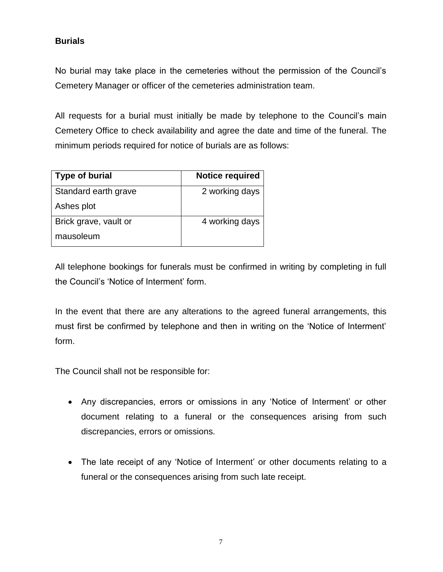# **Burials**

No burial may take place in the cemeteries without the permission of the Council's Cemetery Manager or officer of the cemeteries administration team.

All requests for a burial must initially be made by telephone to the Council's main Cemetery Office to check availability and agree the date and time of the funeral. The minimum periods required for notice of burials are as follows:

| <b>Type of burial</b> | <b>Notice required</b> |
|-----------------------|------------------------|
| Standard earth grave  | 2 working days         |
| Ashes plot            |                        |
| Brick grave, vault or | 4 working days         |
| mausoleum             |                        |

All telephone bookings for funerals must be confirmed in writing by completing in full the Council's 'Notice of Interment' form.

In the event that there are any alterations to the agreed funeral arrangements, this must first be confirmed by telephone and then in writing on the 'Notice of Interment' form.

The Council shall not be responsible for:

- Any discrepancies, errors or omissions in any 'Notice of Interment' or other document relating to a funeral or the consequences arising from such discrepancies, errors or omissions.
- The late receipt of any 'Notice of Interment' or other documents relating to a funeral or the consequences arising from such late receipt.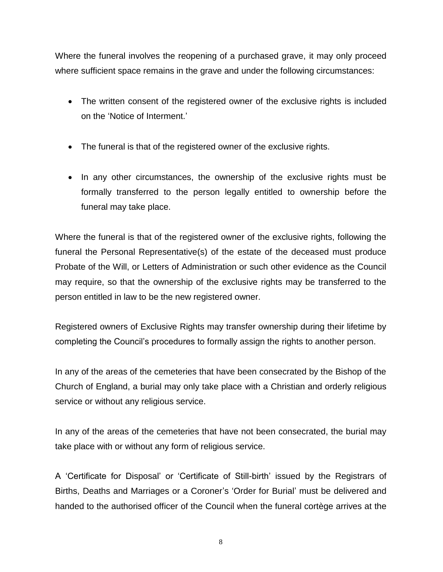Where the funeral involves the reopening of a purchased grave, it may only proceed where sufficient space remains in the grave and under the following circumstances:

- The written consent of the registered owner of the exclusive rights is included on the 'Notice of Interment.'
- The funeral is that of the registered owner of the exclusive rights.
- In any other circumstances, the ownership of the exclusive rights must be formally transferred to the person legally entitled to ownership before the funeral may take place.

Where the funeral is that of the registered owner of the exclusive rights, following the funeral the Personal Representative(s) of the estate of the deceased must produce Probate of the Will, or Letters of Administration or such other evidence as the Council may require, so that the ownership of the exclusive rights may be transferred to the person entitled in law to be the new registered owner.

Registered owners of Exclusive Rights may transfer ownership during their lifetime by completing the Council's procedures to formally assign the rights to another person.

In any of the areas of the cemeteries that have been consecrated by the Bishop of the Church of England, a burial may only take place with a Christian and orderly religious service or without any religious service.

In any of the areas of the cemeteries that have not been consecrated, the burial may take place with or without any form of religious service.

A 'Certificate for Disposal' or 'Certificate of Still-birth' issued by the Registrars of Births, Deaths and Marriages or a Coroner's 'Order for Burial' must be delivered and handed to the authorised officer of the Council when the funeral cortège arrives at the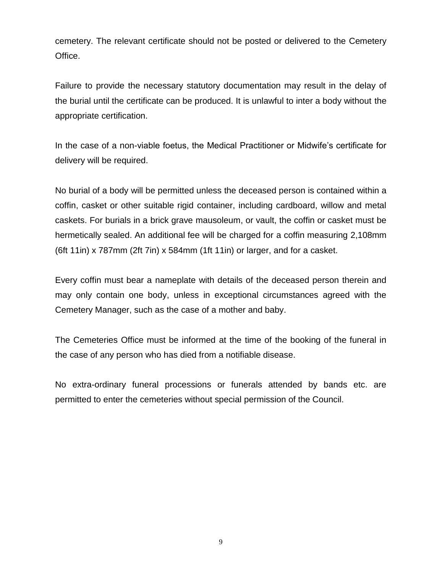cemetery. The relevant certificate should not be posted or delivered to the Cemetery Office.

Failure to provide the necessary statutory documentation may result in the delay of the burial until the certificate can be produced. It is unlawful to inter a body without the appropriate certification.

In the case of a non-viable foetus, the Medical Practitioner or Midwife's certificate for delivery will be required.

No burial of a body will be permitted unless the deceased person is contained within a coffin, casket or other suitable rigid container, including cardboard, willow and metal caskets. For burials in a brick grave mausoleum, or vault, the coffin or casket must be hermetically sealed. An additional fee will be charged for a coffin measuring 2,108mm (6ft 11in) x 787mm (2ft 7in) x 584mm (1ft 11in) or larger, and for a casket.

Every coffin must bear a nameplate with details of the deceased person therein and may only contain one body, unless in exceptional circumstances agreed with the Cemetery Manager, such as the case of a mother and baby.

The Cemeteries Office must be informed at the time of the booking of the funeral in the case of any person who has died from a notifiable disease.

No extra-ordinary funeral processions or funerals attended by bands etc. are permitted to enter the cemeteries without special permission of the Council.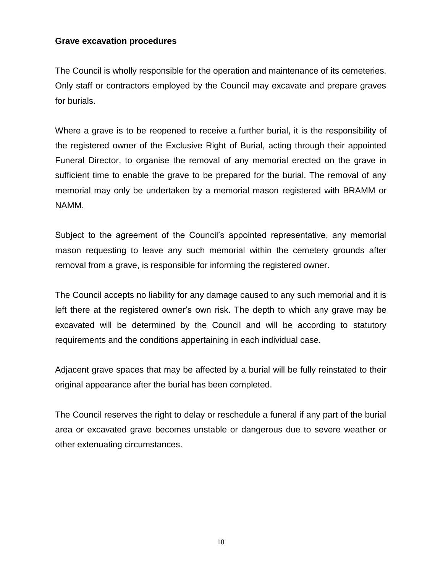#### **Grave excavation procedures**

The Council is wholly responsible for the operation and maintenance of its cemeteries. Only staff or contractors employed by the Council may excavate and prepare graves for burials.

Where a grave is to be reopened to receive a further burial, it is the responsibility of the registered owner of the Exclusive Right of Burial, acting through their appointed Funeral Director, to organise the removal of any memorial erected on the grave in sufficient time to enable the grave to be prepared for the burial. The removal of any memorial may only be undertaken by a memorial mason registered with BRAMM or NAMM.

Subject to the agreement of the Council's appointed representative, any memorial mason requesting to leave any such memorial within the cemetery grounds after removal from a grave, is responsible for informing the registered owner.

The Council accepts no liability for any damage caused to any such memorial and it is left there at the registered owner's own risk. The depth to which any grave may be excavated will be determined by the Council and will be according to statutory requirements and the conditions appertaining in each individual case.

Adjacent grave spaces that may be affected by a burial will be fully reinstated to their original appearance after the burial has been completed.

The Council reserves the right to delay or reschedule a funeral if any part of the burial area or excavated grave becomes unstable or dangerous due to severe weather or other extenuating circumstances.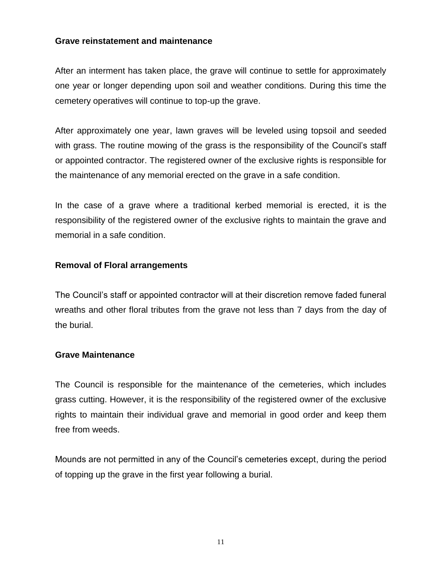#### **Grave reinstatement and maintenance**

After an interment has taken place, the grave will continue to settle for approximately one year or longer depending upon soil and weather conditions. During this time the cemetery operatives will continue to top-up the grave.

After approximately one year, lawn graves will be leveled using topsoil and seeded with grass. The routine mowing of the grass is the responsibility of the Council's staff or appointed contractor. The registered owner of the exclusive rights is responsible for the maintenance of any memorial erected on the grave in a safe condition.

In the case of a grave where a traditional kerbed memorial is erected, it is the responsibility of the registered owner of the exclusive rights to maintain the grave and memorial in a safe condition.

## **Removal of Floral arrangements**

The Council's staff or appointed contractor will at their discretion remove faded funeral wreaths and other floral tributes from the grave not less than 7 days from the day of the burial.

## **Grave Maintenance**

The Council is responsible for the maintenance of the cemeteries, which includes grass cutting. However, it is the responsibility of the registered owner of the exclusive rights to maintain their individual grave and memorial in good order and keep them free from weeds.

Mounds are not permitted in any of the Council's cemeteries except, during the period of topping up the grave in the first year following a burial.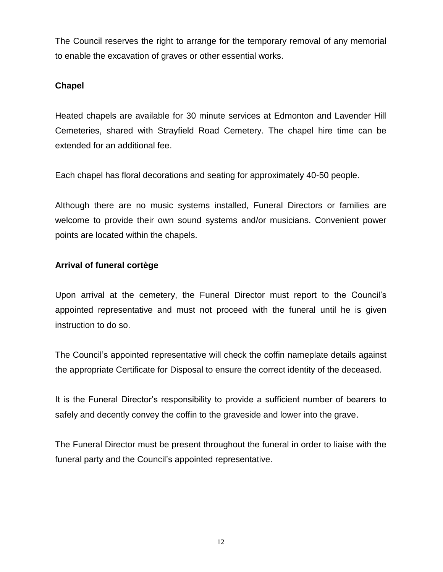The Council reserves the right to arrange for the temporary removal of any memorial to enable the excavation of graves or other essential works.

# **Chapel**

Heated chapels are available for 30 minute services at Edmonton and Lavender Hill Cemeteries, shared with Strayfield Road Cemetery. The chapel hire time can be extended for an additional fee.

Each chapel has floral decorations and seating for approximately 40-50 people.

Although there are no music systems installed, Funeral Directors or families are welcome to provide their own sound systems and/or musicians. Convenient power points are located within the chapels.

## **Arrival of funeral cortège**

Upon arrival at the cemetery, the Funeral Director must report to the Council's appointed representative and must not proceed with the funeral until he is given instruction to do so.

The Council's appointed representative will check the coffin nameplate details against the appropriate Certificate for Disposal to ensure the correct identity of the deceased.

It is the Funeral Director's responsibility to provide a sufficient number of bearers to safely and decently convey the coffin to the graveside and lower into the grave.

The Funeral Director must be present throughout the funeral in order to liaise with the funeral party and the Council's appointed representative.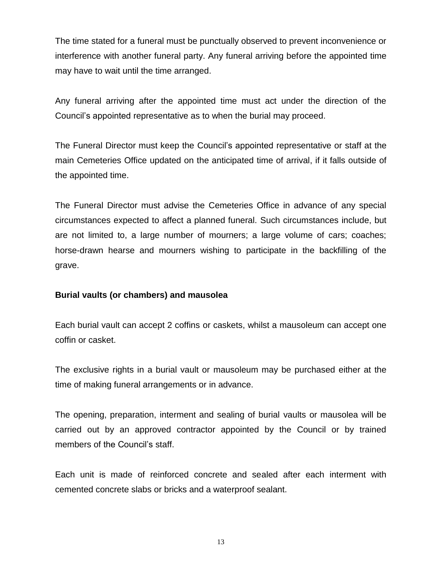The time stated for a funeral must be punctually observed to prevent inconvenience or interference with another funeral party. Any funeral arriving before the appointed time may have to wait until the time arranged.

Any funeral arriving after the appointed time must act under the direction of the Council's appointed representative as to when the burial may proceed.

The Funeral Director must keep the Council's appointed representative or staff at the main Cemeteries Office updated on the anticipated time of arrival, if it falls outside of the appointed time.

The Funeral Director must advise the Cemeteries Office in advance of any special circumstances expected to affect a planned funeral. Such circumstances include, but are not limited to, a large number of mourners; a large volume of cars; coaches; horse-drawn hearse and mourners wishing to participate in the backfilling of the grave.

#### **Burial vaults (or chambers) and mausolea**

Each burial vault can accept 2 coffins or caskets, whilst a mausoleum can accept one coffin or casket.

The exclusive rights in a burial vault or mausoleum may be purchased either at the time of making funeral arrangements or in advance.

The opening, preparation, interment and sealing of burial vaults or mausolea will be carried out by an approved contractor appointed by the Council or by trained members of the Council's staff.

Each unit is made of reinforced concrete and sealed after each interment with cemented concrete slabs or bricks and a waterproof sealant.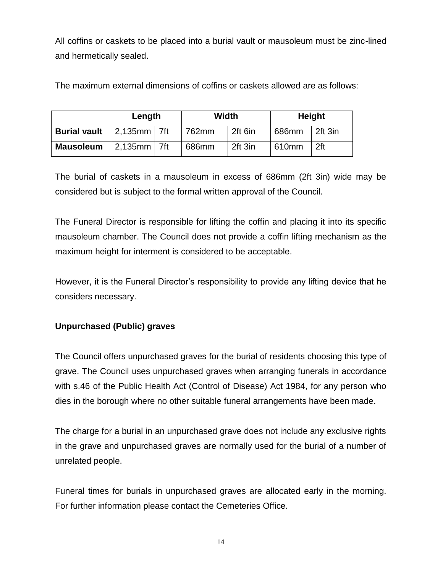All coffins or caskets to be placed into a burial vault or mausoleum must be zinc-lined and hermetically sealed.

The maximum external dimensions of coffins or caskets allowed are as follows:

|                     | Length           | Width |         |       | <b>Height</b> |
|---------------------|------------------|-------|---------|-------|---------------|
| <b>Burial vault</b> | $2,135$ mm   7ft | 762mm | 2ft 6in | 686mm | 2ft 3in       |
| <b>Mausoleum</b>    | $2,135$ mm   7ft | 686mm | 2ft 3in | 610mm | 2ft           |

The burial of caskets in a mausoleum in excess of 686mm (2ft 3in) wide may be considered but is subject to the formal written approval of the Council.

The Funeral Director is responsible for lifting the coffin and placing it into its specific mausoleum chamber. The Council does not provide a coffin lifting mechanism as the maximum height for interment is considered to be acceptable.

However, it is the Funeral Director's responsibility to provide any lifting device that he considers necessary.

# **Unpurchased (Public) graves**

The Council offers unpurchased graves for the burial of residents choosing this type of grave. The Council uses unpurchased graves when arranging funerals in accordance with s.46 of the Public Health Act (Control of Disease) Act 1984, for any person who dies in the borough where no other suitable funeral arrangements have been made.

The charge for a burial in an unpurchased grave does not include any exclusive rights in the grave and unpurchased graves are normally used for the burial of a number of unrelated people.

Funeral times for burials in unpurchased graves are allocated early in the morning. For further information please contact the Cemeteries Office.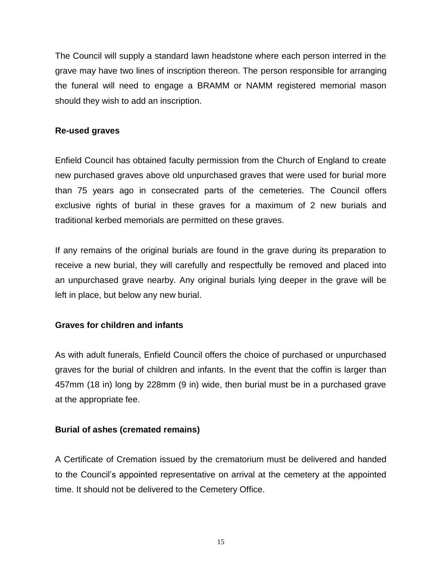The Council will supply a standard lawn headstone where each person interred in the grave may have two lines of inscription thereon. The person responsible for arranging the funeral will need to engage a BRAMM or NAMM registered memorial mason should they wish to add an inscription.

## **Re-used graves**

Enfield Council has obtained faculty permission from the Church of England to create new purchased graves above old unpurchased graves that were used for burial more than 75 years ago in consecrated parts of the cemeteries. The Council offers exclusive rights of burial in these graves for a maximum of 2 new burials and traditional kerbed memorials are permitted on these graves.

If any remains of the original burials are found in the grave during its preparation to receive a new burial, they will carefully and respectfully be removed and placed into an unpurchased grave nearby. Any original burials lying deeper in the grave will be left in place, but below any new burial.

## **Graves for children and infants**

As with adult funerals, Enfield Council offers the choice of purchased or unpurchased graves for the burial of children and infants. In the event that the coffin is larger than 457mm (18 in) long by 228mm (9 in) wide, then burial must be in a purchased grave at the appropriate fee.

## **Burial of ashes (cremated remains)**

A Certificate of Cremation issued by the crematorium must be delivered and handed to the Council's appointed representative on arrival at the cemetery at the appointed time. It should not be delivered to the Cemetery Office.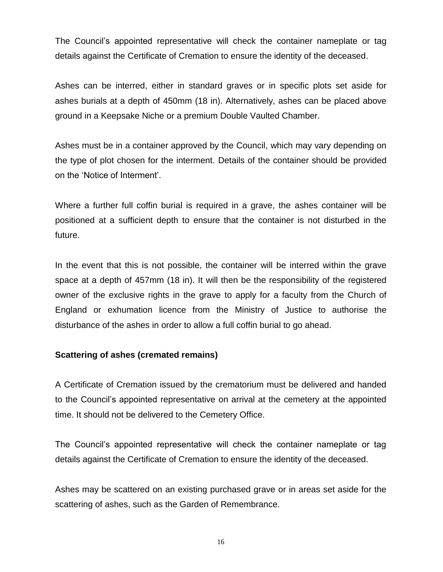The Council's appointed representative will check the container nameplate or tag details against the Certificate of Cremation to ensure the identity of the deceased.

Ashes can be interred, either in standard graves or in specific plots set aside for ashes burials at a depth of 450mm (18 in). Alternatively, ashes can be placed above ground in a Keepsake Niche or a premium Double Vaulted Chamber.

Ashes must be in a container approved by the Council, which may vary depending on the type of plot chosen for the interment. Details of the container should be provided on the 'Notice of Interment'.

Where a further full coffin burial is required in a grave, the ashes container will be positioned at a sufficient depth to ensure that the container is not disturbed in the future.

In the event that this is not possible, the container will be interred within the grave space at a depth of 457mm (18 in). It will then be the responsibility of the registered owner of the exclusive rights in the grave to apply for a faculty from the Church of England or exhumation licence from the Ministry of Justice to authorise the disturbance of the ashes in order to allow a full coffin burial to go ahead.

## **Scattering of ashes (cremated remains)**

A Certificate of Cremation issued by the crematorium must be delivered and handed to the Council's appointed representative on arrival at the cemetery at the appointed time. It should not be delivered to the Cemetery Office.

The Council's appointed representative will check the container nameplate or tag details against the Certificate of Cremation to ensure the identity of the deceased.

Ashes may be scattered on an existing purchased grave or in areas set aside for the scattering of ashes, such as the Garden of Remembrance.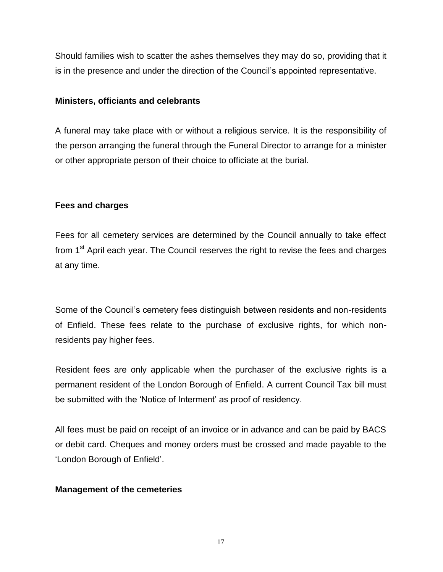Should families wish to scatter the ashes themselves they may do so, providing that it is in the presence and under the direction of the Council's appointed representative.

#### **Ministers, officiants and celebrants**

A funeral may take place with or without a religious service. It is the responsibility of the person arranging the funeral through the Funeral Director to arrange for a minister or other appropriate person of their choice to officiate at the burial.

## **Fees and charges**

Fees for all cemetery services are determined by the Council annually to take effect from  $1<sup>st</sup>$  April each year. The Council reserves the right to revise the fees and charges at any time.

Some of the Council's cemetery fees distinguish between residents and non-residents of Enfield. These fees relate to the purchase of exclusive rights, for which nonresidents pay higher fees.

Resident fees are only applicable when the purchaser of the exclusive rights is a permanent resident of the London Borough of Enfield. A current Council Tax bill must be submitted with the 'Notice of Interment' as proof of residency.

All fees must be paid on receipt of an invoice or in advance and can be paid by BACS or debit card. Cheques and money orders must be crossed and made payable to the 'London Borough of Enfield'.

## **Management of the cemeteries**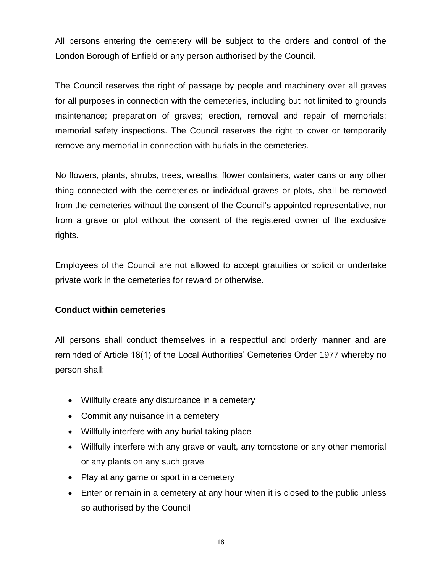All persons entering the cemetery will be subject to the orders and control of the London Borough of Enfield or any person authorised by the Council.

The Council reserves the right of passage by people and machinery over all graves for all purposes in connection with the cemeteries, including but not limited to grounds maintenance; preparation of graves; erection, removal and repair of memorials; memorial safety inspections. The Council reserves the right to cover or temporarily remove any memorial in connection with burials in the cemeteries.

No flowers, plants, shrubs, trees, wreaths, flower containers, water cans or any other thing connected with the cemeteries or individual graves or plots, shall be removed from the cemeteries without the consent of the Council's appointed representative, nor from a grave or plot without the consent of the registered owner of the exclusive rights.

Employees of the Council are not allowed to accept gratuities or solicit or undertake private work in the cemeteries for reward or otherwise.

## **Conduct within cemeteries**

All persons shall conduct themselves in a respectful and orderly manner and are reminded of Article 18(1) of the Local Authorities' Cemeteries Order 1977 whereby no person shall:

- Willfully create any disturbance in a cemetery
- Commit any nuisance in a cemetery
- Willfully interfere with any burial taking place
- Willfully interfere with any grave or vault, any tombstone or any other memorial or any plants on any such grave
- Play at any game or sport in a cemetery
- Enter or remain in a cemetery at any hour when it is closed to the public unless so authorised by the Council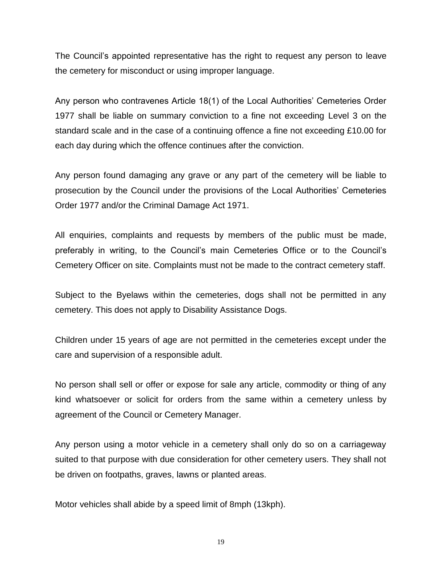The Council's appointed representative has the right to request any person to leave the cemetery for misconduct or using improper language.

Any person who contravenes Article 18(1) of the Local Authorities' Cemeteries Order 1977 shall be liable on summary conviction to a fine not exceeding Level 3 on the standard scale and in the case of a continuing offence a fine not exceeding £10.00 for each day during which the offence continues after the conviction.

Any person found damaging any grave or any part of the cemetery will be liable to prosecution by the Council under the provisions of the Local Authorities' Cemeteries Order 1977 and/or the Criminal Damage Act 1971.

All enquiries, complaints and requests by members of the public must be made, preferably in writing, to the Council's main Cemeteries Office or to the Council's Cemetery Officer on site. Complaints must not be made to the contract cemetery staff.

Subject to the Byelaws within the cemeteries, dogs shall not be permitted in any cemetery. This does not apply to Disability Assistance Dogs.

Children under 15 years of age are not permitted in the cemeteries except under the care and supervision of a responsible adult.

No person shall sell or offer or expose for sale any article, commodity or thing of any kind whatsoever or solicit for orders from the same within a cemetery unless by agreement of the Council or Cemetery Manager.

Any person using a motor vehicle in a cemetery shall only do so on a carriageway suited to that purpose with due consideration for other cemetery users. They shall not be driven on footpaths, graves, lawns or planted areas.

Motor vehicles shall abide by a speed limit of 8mph (13kph).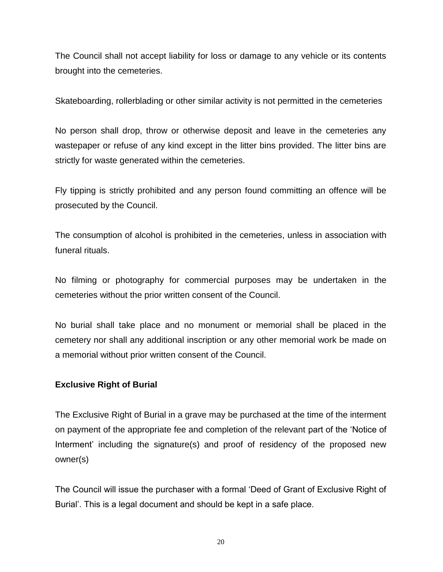The Council shall not accept liability for loss or damage to any vehicle or its contents brought into the cemeteries.

Skateboarding, rollerblading or other similar activity is not permitted in the cemeteries

No person shall drop, throw or otherwise deposit and leave in the cemeteries any wastepaper or refuse of any kind except in the litter bins provided. The litter bins are strictly for waste generated within the cemeteries.

Fly tipping is strictly prohibited and any person found committing an offence will be prosecuted by the Council.

The consumption of alcohol is prohibited in the cemeteries, unless in association with funeral rituals.

No filming or photography for commercial purposes may be undertaken in the cemeteries without the prior written consent of the Council.

No burial shall take place and no monument or memorial shall be placed in the cemetery nor shall any additional inscription or any other memorial work be made on a memorial without prior written consent of the Council.

## **Exclusive Right of Burial**

The Exclusive Right of Burial in a grave may be purchased at the time of the interment on payment of the appropriate fee and completion of the relevant part of the 'Notice of Interment' including the signature(s) and proof of residency of the proposed new owner(s)

The Council will issue the purchaser with a formal 'Deed of Grant of Exclusive Right of Burial'. This is a legal document and should be kept in a safe place.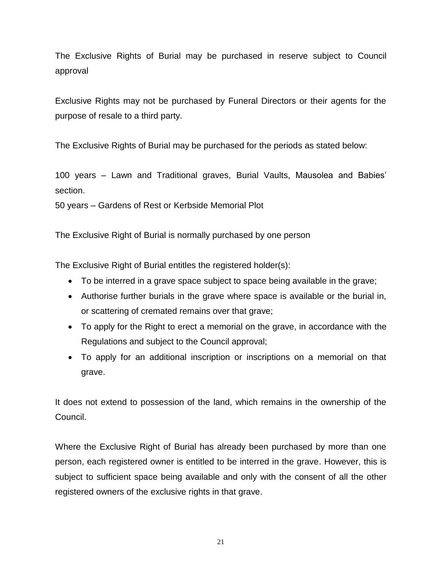The Exclusive Rights of Burial may be purchased in reserve subject to Council approval

Exclusive Rights may not be purchased by Funeral Directors or their agents for the purpose of resale to a third party.

The Exclusive Rights of Burial may be purchased for the periods as stated below:

100 years – Lawn and Traditional graves, Burial Vaults, Mausolea and Babies' section.

50 years – Gardens of Rest or Kerbside Memorial Plot

The Exclusive Right of Burial is normally purchased by one person

The Exclusive Right of Burial entitles the registered holder(s):

- To be interred in a grave space subject to space being available in the grave;
- Authorise further burials in the grave where space is available or the burial in, or scattering of cremated remains over that grave;
- To apply for the Right to erect a memorial on the grave, in accordance with the Regulations and subject to the Council approval;
- To apply for an additional inscription or inscriptions on a memorial on that grave.

It does not extend to possession of the land, which remains in the ownership of the Council.

Where the Exclusive Right of Burial has already been purchased by more than one person, each registered owner is entitled to be interred in the grave. However, this is subject to sufficient space being available and only with the consent of all the other registered owners of the exclusive rights in that grave.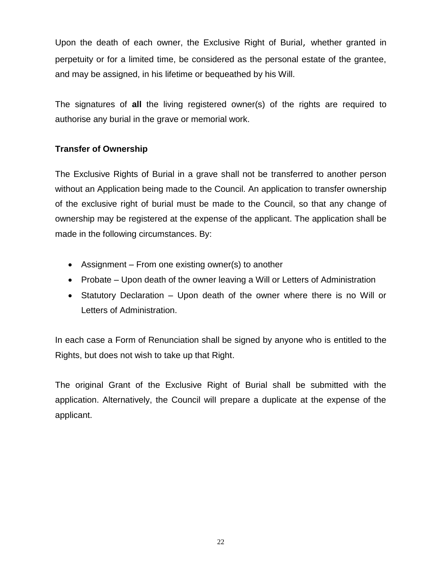Upon the death of each owner, the Exclusive Right of Burial, whether granted in perpetuity or for a limited time, be considered as the personal estate of the grantee, and may be assigned, in his lifetime or bequeathed by his Will.

The signatures of **all** the living registered owner(s) of the rights are required to authorise any burial in the grave or memorial work.

# **Transfer of Ownership**

The Exclusive Rights of Burial in a grave shall not be transferred to another person without an Application being made to the Council. An application to transfer ownership of the exclusive right of burial must be made to the Council, so that any change of ownership may be registered at the expense of the applicant. The application shall be made in the following circumstances. By:

- Assignment From one existing owner(s) to another
- Probate Upon death of the owner leaving a Will or Letters of Administration
- Statutory Declaration Upon death of the owner where there is no Will or Letters of Administration.

In each case a Form of Renunciation shall be signed by anyone who is entitled to the Rights, but does not wish to take up that Right.

The original Grant of the Exclusive Right of Burial shall be submitted with the application. Alternatively, the Council wilI prepare a duplicate at the expense of the applicant.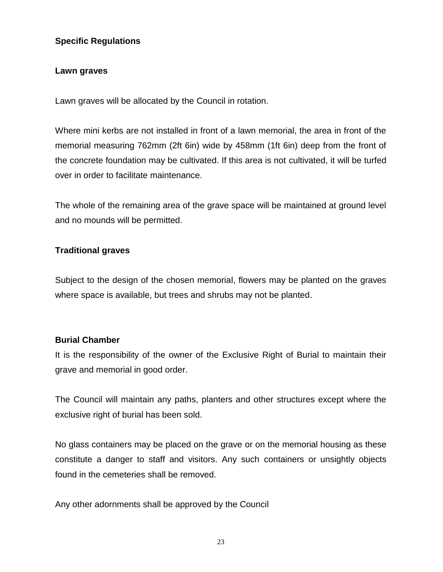## **Specific Regulations**

## **Lawn graves**

Lawn graves will be allocated by the Council in rotation.

Where mini kerbs are not installed in front of a lawn memorial, the area in front of the memorial measuring 762mm (2ft 6in) wide by 458mm (1ft 6in) deep from the front of the concrete foundation may be cultivated. If this area is not cultivated, it will be turfed over in order to facilitate maintenance.

The whole of the remaining area of the grave space will be maintained at ground level and no mounds will be permitted.

## **Traditional graves**

Subject to the design of the chosen memorial, flowers may be planted on the graves where space is available, but trees and shrubs may not be planted.

## **Burial Chamber**

It is the responsibility of the owner of the Exclusive Right of Burial to maintain their grave and memorial in good order.

The Council will maintain any paths, planters and other structures except where the exclusive right of burial has been sold.

No glass containers may be placed on the grave or on the memorial housing as these constitute a danger to staff and visitors. Any such containers or unsightly objects found in the cemeteries shall be removed.

Any other adornments shall be approved by the Council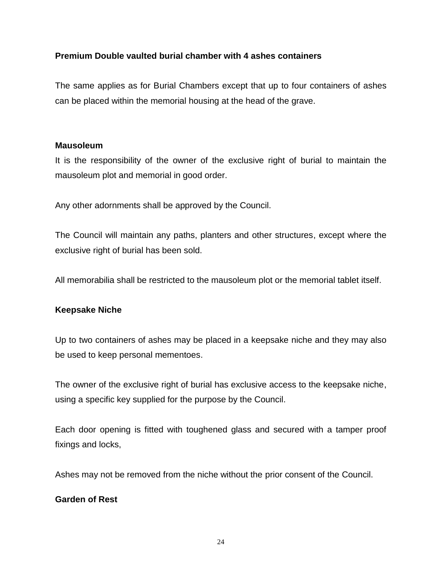## **Premium Double vaulted burial chamber with 4 ashes containers**

The same applies as for Burial Chambers except that up to four containers of ashes can be placed within the memorial housing at the head of the grave.

#### **Mausoleum**

It is the responsibility of the owner of the exclusive right of burial to maintain the mausoleum plot and memorial in good order.

Any other adornments shall be approved by the Council.

The Council will maintain any paths, planters and other structures, except where the exclusive right of burial has been sold.

All memorabilia shall be restricted to the mausoleum plot or the memorial tablet itself.

## **Keepsake Niche**

Up to two containers of ashes may be placed in a keepsake niche and they may also be used to keep personal mementoes.

The owner of the exclusive right of burial has exclusive access to the keepsake niche, using a specific key supplied for the purpose by the Council.

Each door opening is fitted with toughened glass and secured with a tamper proof fixings and locks,

Ashes may not be removed from the niche without the prior consent of the Council.

## **Garden of Rest**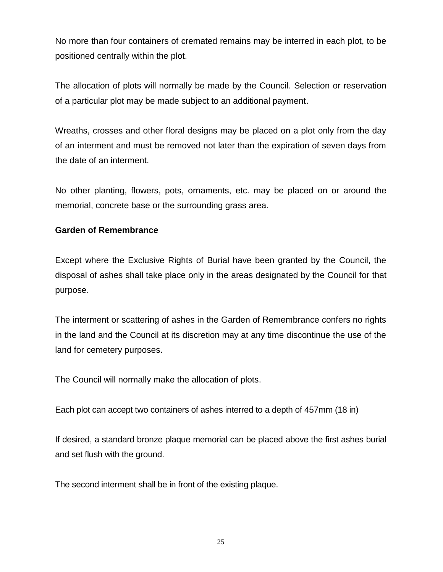No more than four containers of cremated remains may be interred in each plot, to be positioned centrally within the plot.

The allocation of plots will normally be made by the Council. Selection or reservation of a particular plot may be made subject to an additional payment.

Wreaths, crosses and other floral designs may be placed on a plot only from the day of an interment and must be removed not later than the expiration of seven days from the date of an interment.

No other planting, flowers, pots, ornaments, etc. may be placed on or around the memorial, concrete base or the surrounding grass area.

#### **Garden of Remembrance**

Except where the Exclusive Rights of Burial have been granted by the Council, the disposal of ashes shall take place only in the areas designated by the Council for that purpose.

The interment or scattering of ashes in the Garden of Remembrance confers no rights in the land and the Council at its discretion may at any time discontinue the use of the land for cemetery purposes.

The Council will normally make the allocation of plots.

Each plot can accept two containers of ashes interred to a depth of 457mm (18 in)

If desired, a standard bronze plaque memorial can be placed above the first ashes burial and set flush with the ground.

The second interment shall be in front of the existing plaque.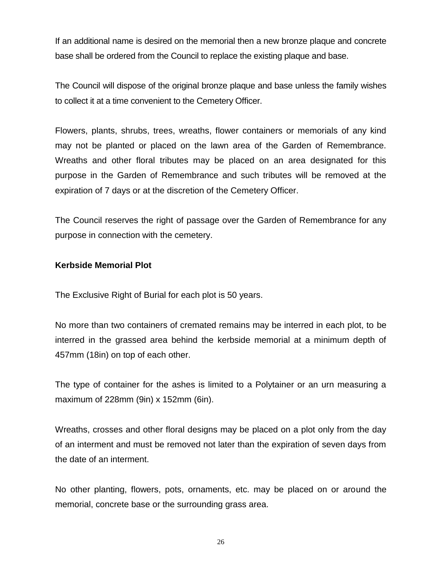If an additional name is desired on the memorial then a new bronze plaque and concrete base shall be ordered from the Council to replace the existing plaque and base.

The Council will dispose of the original bronze plaque and base unless the family wishes to collect it at a time convenient to the Cemetery Officer.

Flowers, plants, shrubs, trees, wreaths, flower containers or memorials of any kind may not be planted or placed on the lawn area of the Garden of Remembrance. Wreaths and other floral tributes may be placed on an area designated for this purpose in the Garden of Remembrance and such tributes will be removed at the expiration of 7 days or at the discretion of the Cemetery Officer.

The Council reserves the right of passage over the Garden of Remembrance for any purpose in connection with the cemetery.

#### **Kerbside Memorial Plot**

The Exclusive Right of Burial for each plot is 50 years.

No more than two containers of cremated remains may be interred in each plot, to be interred in the grassed area behind the kerbside memorial at a minimum depth of 457mm (18in) on top of each other.

The type of container for the ashes is limited to a Polytainer or an urn measuring a maximum of 228mm (9in) x 152mm (6in).

Wreaths, crosses and other floral designs may be placed on a plot only from the day of an interment and must be removed not later than the expiration of seven days from the date of an interment.

No other planting, flowers, pots, ornaments, etc. may be placed on or around the memorial, concrete base or the surrounding grass area.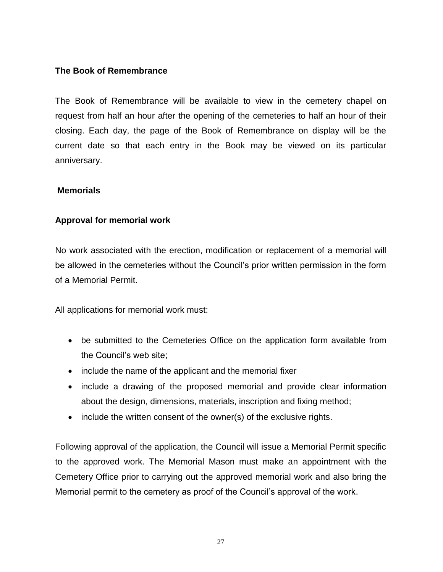## **The Book of Remembrance**

The Book of Remembrance will be available to view in the cemetery chapel on request from half an hour after the opening of the cemeteries to half an hour of their closing. Each day, the page of the Book of Remembrance on display will be the current date so that each entry in the Book may be viewed on its particular anniversary.

## **Memorials**

## **Approval for memorial work**

No work associated with the erection, modification or replacement of a memorial will be allowed in the cemeteries without the Council's prior written permission in the form of a Memorial Permit.

All applications for memorial work must:

- be submitted to the Cemeteries Office on the application form available from the Council's web site;
- include the name of the applicant and the memorial fixer
- include a drawing of the proposed memorial and provide clear information about the design, dimensions, materials, inscription and fixing method;
- include the written consent of the owner(s) of the exclusive rights.

Following approval of the application, the Council will issue a Memorial Permit specific to the approved work. The Memorial Mason must make an appointment with the Cemetery Office prior to carrying out the approved memorial work and also bring the Memorial permit to the cemetery as proof of the Council's approval of the work.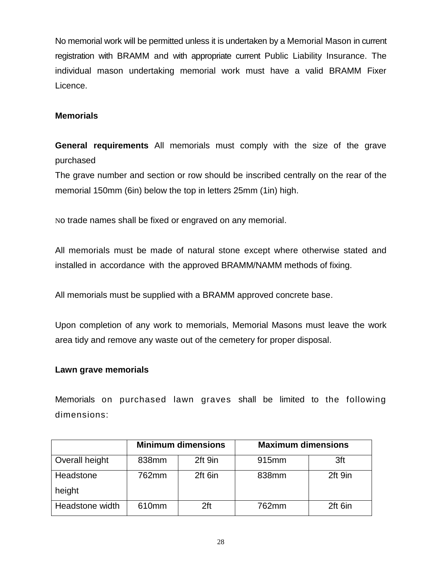No memorial work will be permitted unless it is undertaken by a Memorial Mason in current registration with BRAMM and with appropriate current Public Liability Insurance. The individual mason undertaking memorial work must have a valid BRAMM Fixer Licence.

# **Memorials**

**General requirements** All memorials must comply with the size of the grave purchased

The grave number and section or row should be inscribed centrally on the rear of the memorial 150mm (6in) below the top in letters 25mm (1in) high.

No trade names shall be fixed or engraved on any memorial.

All memorials must be made of natural stone except where otherwise stated and installed in accordance with the approved BRAMM/NAMM methods of fixing.

All memorials must be supplied with a BRAMM approved concrete base.

Upon completion of any work to memorials, Memorial Masons must leave the work area tidy and remove any waste out of the cemetery for proper disposal.

# **Lawn grave memorials**

Memorials on purchased lawn graves shall be limited to the following dimensions:

|                 | <b>Minimum dimensions</b> |         | <b>Maximum dimensions</b> |         |
|-----------------|---------------------------|---------|---------------------------|---------|
| Overall height  | 838mm                     | 2ft 9in | 915 <sub>mm</sub>         | 3ft     |
| Headstone       | 762mm                     | 2ft 6in | 838mm                     | 2ft 9in |
| height          |                           |         |                           |         |
| Headstone width | 610mm                     | 2ft     | 762mm                     | 2ft 6in |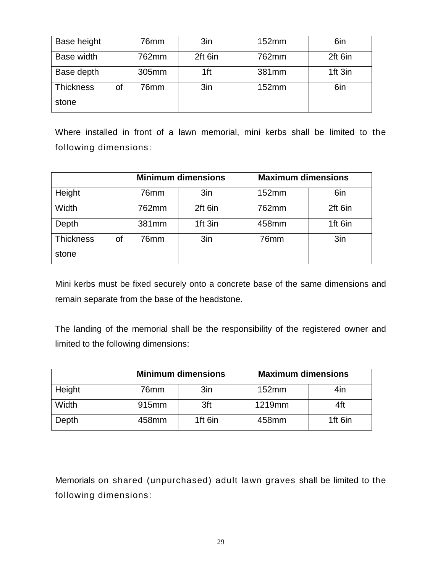| Base height            | 76mm  | 3in     | 152mm | 6in     |
|------------------------|-------|---------|-------|---------|
| Base width             | 762mm | 2ft 6in | 762mm | 2ft 6in |
| Base depth             | 305mm | 1ft     | 381mm | 1ft 3in |
| <b>Thickness</b><br>οf | 76mm  | 3in     | 152mm | 6in     |
| stone                  |       |         |       |         |

Where installed in front of a lawn memorial, mini kerbs shall be limited to the following dimensions:

|                        | <b>Minimum dimensions</b> |                 | <b>Maximum dimensions</b> |         |
|------------------------|---------------------------|-----------------|---------------------------|---------|
| Height                 | 76mm                      | 3in             | 152mm                     | 6in     |
| Width                  | 762mm                     | 2ft 6in         | 762mm                     | 2ft 6in |
| Depth                  | 381mm                     | 1ft 3in         | 458mm                     | 1ft 6in |
| <b>Thickness</b><br>of | 76mm                      | 3 <sub>in</sub> | 76mm                      | 3in     |
| stone                  |                           |                 |                           |         |

Mini kerbs must be fixed securely onto a concrete base of the same dimensions and remain separate from the base of the headstone.

The landing of the memorial shall be the responsibility of the registered owner and limited to the following dimensions:

|        | <b>Minimum dimensions</b> |         | <b>Maximum dimensions</b> |         |
|--------|---------------------------|---------|---------------------------|---------|
| Height | 76mm                      | 3in     | 152mm                     | 4in     |
| Width  | 915mm                     | 3ft     | 1219mm                    | 4ft.    |
| Depth  | 458mm                     | 1ft 6in | 458mm                     | 1ft 6in |

Memorials on shared (unpurchased) adult lawn graves shall be limited to the following dimensions: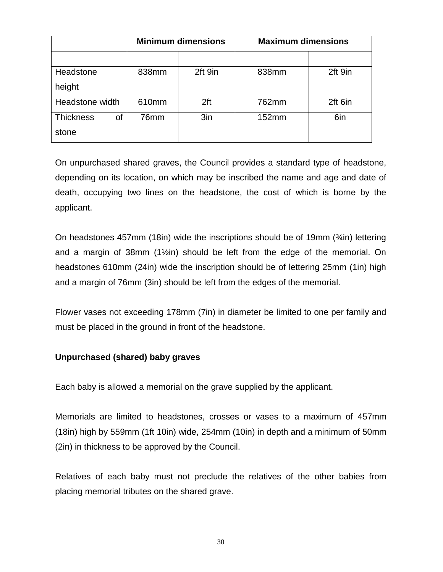|                        | <b>Minimum dimensions</b> |                 | <b>Maximum dimensions</b> |         |
|------------------------|---------------------------|-----------------|---------------------------|---------|
|                        |                           |                 |                           |         |
| Headstone              | 838mm                     | 2ft 9in         | 838mm                     | 2ft 9in |
| height                 |                           |                 |                           |         |
| Headstone width        | 610mm                     | 2 <sup>ft</sup> | 762mm                     | 2ft 6in |
| <b>Thickness</b><br>οf | 76mm                      | 3in             | 152mm                     | 6in     |
| stone                  |                           |                 |                           |         |

On unpurchased shared graves, the Council provides a standard type of headstone, depending on its location, on which may be inscribed the name and age and date of death, occupying two lines on the headstone, the cost of which is borne by the applicant.

On headstones 457mm (18in) wide the inscriptions should be of 19mm (¾in) lettering and a margin of 38mm (1½in) should be left from the edge of the memorial. On headstones 610mm (24in) wide the inscription should be of lettering 25mm (1in) high and a margin of 76mm (3in) should be left from the edges of the memorial.

Flower vases not exceeding 178mm (7in) in diameter be limited to one per family and must be placed in the ground in front of the headstone.

# **Unpurchased (shared) baby graves**

Each baby is allowed a memorial on the grave supplied by the applicant.

Memorials are limited to headstones, crosses or vases to a maximum of 457mm (18in) high by 559mm (1ft 10in) wide, 254mm (10in) in depth and a minimum of 50mm (2in) in thickness to be approved by the Council.

Relatives of each baby must not preclude the relatives of the other babies from placing memorial tributes on the shared grave.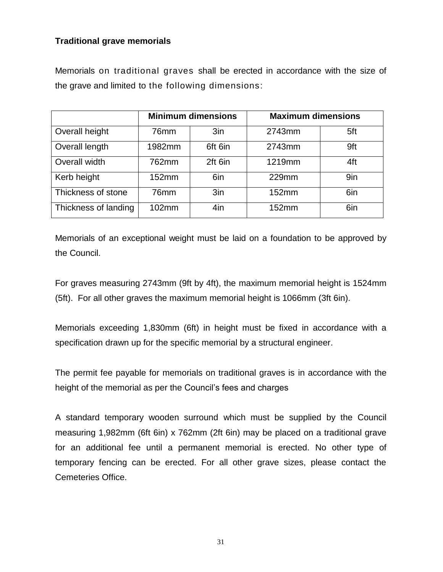## **Traditional grave memorials**

Memorials on traditional graves shall be erected in accordance with the size of the grave and limited to the following dimensions:

|                      | <b>Minimum dimensions</b> |                 | <b>Maximum dimensions</b> |     |
|----------------------|---------------------------|-----------------|---------------------------|-----|
| Overall height       | 76 <sub>mm</sub>          | 3 <sub>in</sub> | 2743mm                    | 5ft |
| Overall length       | 1982mm                    | 6ft 6in         | 2743mm                    | 9ft |
| Overall width        | 762mm                     | 2ft 6in         | 1219mm                    | 4ft |
| Kerb height          | 152mm                     | 6in             | 229mm                     | 9in |
| Thickness of stone   | 76mm                      | 3 <sub>in</sub> | 152mm                     | 6in |
| Thickness of landing | 102mm                     | 4in             | 152mm                     | 6in |

Memorials of an exceptional weight must be laid on a foundation to be approved by the Council.

For graves measuring 2743mm (9ft by 4ft), the maximum memorial height is 1524mm (5ft). For all other graves the maximum memorial height is 1066mm (3ft 6in).

Memorials exceeding 1,830mm (6ft) in height must be fixed in accordance with a specification drawn up for the specific memorial by a structural engineer.

The permit fee payable for memorials on traditional graves is in accordance with the height of the memorial as per the Council's fees and charges

A standard temporary wooden surround which must be supplied by the Council measuring 1,982mm (6ft 6in) x 762mm (2ft 6in) may be placed on a traditional grave for an additional fee until a permanent memorial is erected. No other type of temporary fencing can be erected. For all other grave sizes, please contact the Cemeteries Office.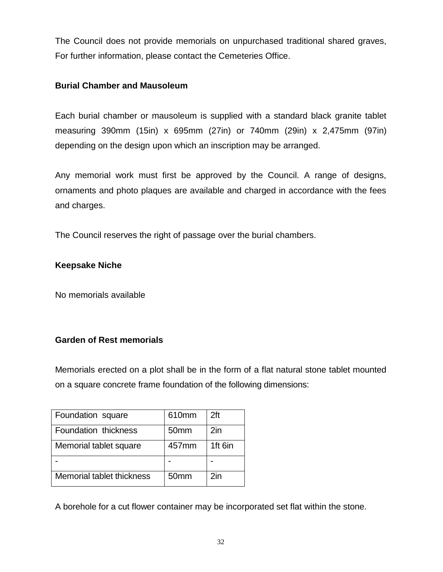The Council does not provide memorials on unpurchased traditional shared graves, For further information, please contact the Cemeteries Office.

## **Burial Chamber and Mausoleum**

Each burial chamber or mausoleum is supplied with a standard black granite tablet measuring 390mm (15in) x 695mm (27in) or 740mm (29in) x 2,475mm (97in) depending on the design upon which an inscription may be arranged.

Any memorial work must first be approved by the Council. A range of designs, ornaments and photo plaques are available and charged in accordance with the fees and charges.

The Council reserves the right of passage over the burial chambers.

# **Keepsake Niche**

No memorials available

# **Garden of Rest memorials**

Memorials erected on a plot shall be in the form of a flat natural stone tablet mounted on a square concrete frame foundation of the following dimensions:

| Foundation square         | 610mm            | 2ft     |
|---------------------------|------------------|---------|
| Foundation thickness      | 50 <sub>mm</sub> | 2in     |
| Memorial tablet square    | 457mm            | 1ft 6in |
|                           |                  |         |
| Memorial tablet thickness | 50 <sub>mm</sub> | $2$ in  |

A borehole for a cut flower container may be incorporated set flat within the stone.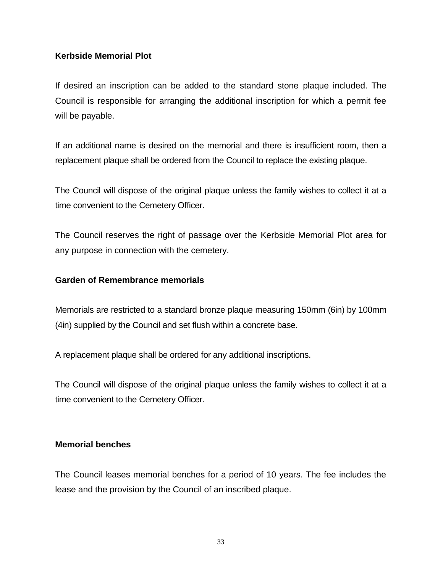## **Kerbside Memorial Plot**

If desired an inscription can be added to the standard stone plaque included. The Council is responsible for arranging the additional inscription for which a permit fee will be payable.

If an additional name is desired on the memorial and there is insufficient room, then a replacement plaque shall be ordered from the Council to replace the existing plaque.

The Council will dispose of the original plaque unless the family wishes to collect it at a time convenient to the Cemetery Officer.

The Council reserves the right of passage over the Kerbside Memorial Plot area for any purpose in connection with the cemetery.

## **Garden of Remembrance memorials**

Memorials are restricted to a standard bronze plaque measuring 150mm (6in) by 100mm (4in) supplied by the Council and set flush within a concrete base.

A replacement plaque shall be ordered for any additional inscriptions.

The Council will dispose of the original plaque unless the family wishes to collect it at a time convenient to the Cemetery Officer.

## **Memorial benches**

The Council leases memorial benches for a period of 10 years. The fee includes the lease and the provision by the Council of an inscribed plaque.